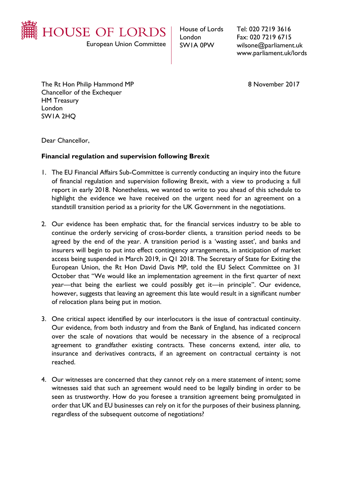

European Union Committee

House of Lords London SW1A 0PW

Tel: 020 7219 3616 Fax: 020 7219 6715 wilsone@parliament.uk www.parliament.uk/lords

The Rt Hon Philip Hammond MP 8 November 2017 Chancellor of the Exchequer HM Treasury London SW1A 2HQ

Dear Chancellor,

## **Financial regulation and supervision following Brexit**

- 1. The EU Financial Affairs Sub-Committee is currently conducting an inquiry into the future of financial regulation and supervision following Brexit, with a view to producing a full report in early 2018. Nonetheless, we wanted to write to you ahead of this schedule to highlight the evidence we have received on the urgent need for an agreement on a standstill transition period as a priority for the UK Government in the negotiations.
- 2. Our evidence has been emphatic that, for the financial services industry to be able to continue the orderly servicing of cross-border clients, a transition period needs to be agreed by the end of the year. A transition period is a 'wasting asset', and banks and insurers will begin to put into effect contingency arrangements, in anticipation of market access being suspended in March 2019, in Q1 2018. The Secretary of State for Exiting the European Union, the Rt Hon David Davis MP, told the EU Select Committee on 31 October that "We would like an implementation agreement in the first quarter of next year—that being the earliest we could possibly get it—in principle". Our evidence, however, suggests that leaving an agreement this late would result in a significant number of relocation plans being put in motion.
- 3. One critical aspect identified by our interlocutors is the issue of contractual continuity. Our evidence, from both industry and from the Bank of England, has indicated concern over the scale of novations that would be necessary in the absence of a reciprocal agreement to grandfather existing contracts. These concerns extend, *inter alia*, to insurance and derivatives contracts, if an agreement on contractual certainty is not reached.
- 4. Our witnesses are concerned that they cannot rely on a mere statement of intent; some witnesses said that such an agreement would need to be legally binding in order to be seen as trustworthy. How do you foresee a transition agreement being promulgated in order that UK and EU businesses can rely on it for the purposes of their business planning, regardless of the subsequent outcome of negotiations?